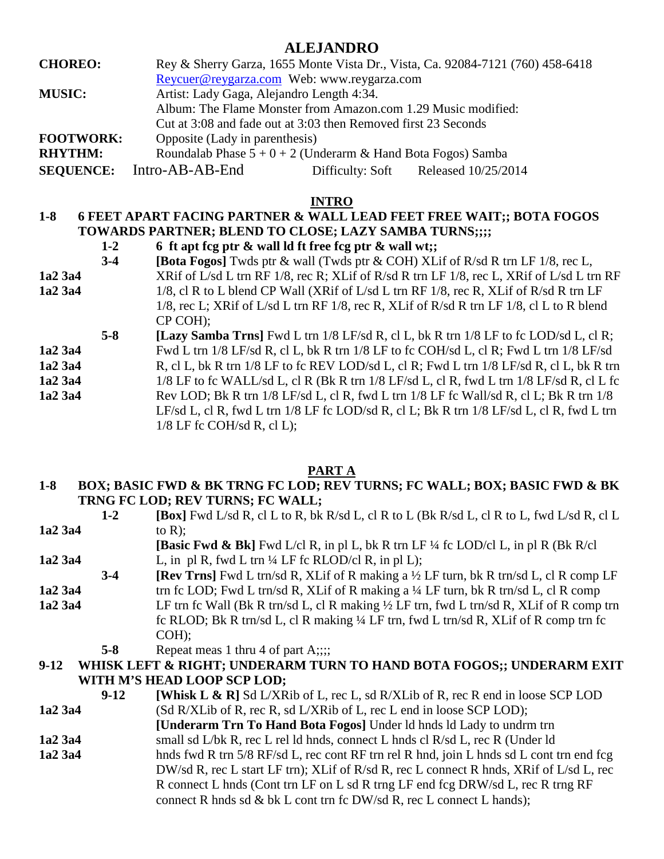### **ALEJANDRO**

| <b>CHOREO:</b>   |                                                                |                                                                | Rey & Sherry Garza, 1655 Monte Vista Dr., Vista, Ca. 92084-7121 (760) 458-6418 |  |
|------------------|----------------------------------------------------------------|----------------------------------------------------------------|--------------------------------------------------------------------------------|--|
|                  |                                                                | Reycuer@reygarza.com Web: www.reygarza.com                     |                                                                                |  |
| <b>MUSIC:</b>    | Artist: Lady Gaga, Alejandro Length 4:34.                      |                                                                |                                                                                |  |
|                  |                                                                | Album: The Flame Monster from Amazon.com 1.29 Music modified:  |                                                                                |  |
|                  |                                                                | Cut at 3:08 and fade out at 3:03 then Removed first 23 Seconds |                                                                                |  |
| <b>FOOTWORK:</b> | Opposite (Lady in parenthesis)                                 |                                                                |                                                                                |  |
| <b>RHYTHM:</b>   | Roundalab Phase $5 + 0 + 2$ (Underarm & Hand Bota Fogos) Samba |                                                                |                                                                                |  |
| <b>SEQUENCE:</b> | Intro-AB-AB-End                                                | Difficulty: Soft                                               | Released 10/25/2014                                                            |  |

#### **INTRO**

### **1-8 6 FEET APART FACING PARTNER & WALL LEAD FEET FREE WAIT;; BOTA FOGOS TOWARDS PARTNER; BLEND TO CLOSE; LAZY SAMBA TURNS;;;;**

- **1-2 6 ft apt fcg ptr & wall ld ft free fcg ptr & wall wt;;**
- **3-4 [Bota Fogos]** Twds ptr & wall (Twds ptr & COH) XLif of R/sd R trn LF 1/8, rec L, **1a2 3a4** XRif of L/sd L trn RF 1/8, rec R; XLif of R/sd R trn LF 1/8, rec L, XRif of L/sd L trn RF
- **1a2 3a4** 1/8, cl R to L blend CP Wall (XRif of L/sd L trn RF 1/8, rec R, XLif of R/sd R trn LF 1/8, rec L; XRif of L/sd L trn RF 1/8, rec R, XLif of R/sd R trn LF 1/8, cl L to R blend CP COH);
- **5-8 [Lazy Samba Trns]** Fwd L trn 1/8 LF/sd R, cl L, bk R trn 1/8 LF to fc LOD/sd L, cl R; **1a2 3a4** Fwd L trn 1/8 LF/sd R, cl L, bk R trn 1/8 LF to fc COH/sd L, cl R; Fwd L trn 1/8 LF/sd **1a2 3a4** R, cl L, bk R trn 1/8 LF to fc REV LOD/sd L, cl R; Fwd L trn 1/8 LF/sd R, cl L, bk R trn **1a2 3a4** 1/8 LF to fc WALL/sd L, cl R (Bk R trn 1/8 LF/sd L, cl R, fwd L trn 1/8 LF/sd R, cl L fc **1a2 3a4** Rev LOD; Bk R trn 1/8 LF/sd L, cl R, fwd L trn 1/8 LF fc Wall/sd R, cl L; Bk R trn 1/8
	- LF/sd L, cl R, fwd L trn 1/8 LF fc LOD/sd R, cl L; Bk R trn 1/8 LF/sd L, cl R, fwd L trn  $1/8$  LF fc COH/sd R, cl L);

#### **PART A**

#### **1-8 BOX; BASIC FWD & BK TRNG FC LOD; REV TURNS; FC WALL; BOX; BASIC FWD & BK TRNG FC LOD; REV TURNS; FC WALL;**

|                                                                                | $1-2$   | $[\text{Box}]$ Fwd L/sd R, cl L to R, bk R/sd L, cl R to L (Bk R/sd L, cl R to L, fwd L/sd R, cl L |  |  |
|--------------------------------------------------------------------------------|---------|----------------------------------------------------------------------------------------------------|--|--|
| 1a2 3a4                                                                        |         | to $R$ );                                                                                          |  |  |
|                                                                                |         | [Basic Fwd & Bk] Fwd L/cl R, in pl L, bk R trn LF ¼ fc LOD/cl L, in pl R (Bk R/cl)                 |  |  |
| 1a2 3a4                                                                        |         | L, in pl R, fwd L trn $\frac{1}{4}$ LF fc RLOD/cl R, in pl L);                                     |  |  |
|                                                                                | $3-4$   | [Rev Trns] Fwd L trn/sd R, XLif of R making a 1/2 LF turn, bk R trn/sd L, cl R comp LF             |  |  |
| 1a2 3a4                                                                        |         | trn fc LOD; Fwd L trn/sd R, XLif of R making a ¼ LF turn, bk R trn/sd L, cl R comp                 |  |  |
| 1a2 3a4                                                                        |         | LF trn fc Wall (Bk R trn/sd L, cl R making 1/2 LF trn, fwd L trn/sd R, XLif of R comp trn          |  |  |
|                                                                                |         | fc RLOD; Bk R trn/sd L, cl R making 1/4 LF trn, fwd L trn/sd R, XLif of R comp trn fc              |  |  |
|                                                                                |         | $COH$ ;                                                                                            |  |  |
|                                                                                | $5 - 8$ | Repeat meas 1 thru 4 of part $A$ ;;;;                                                              |  |  |
| WHISK LEFT & RIGHT; UNDERARM TURN TO HAND BOTA FOGOS;; UNDERARM EXIT<br>$9-12$ |         |                                                                                                    |  |  |
| WITH M'S HEAD LOOP SCP LOD;                                                    |         |                                                                                                    |  |  |
|                                                                                | $9-12$  | <b>[Whisk L &amp; R]</b> Sd L/XRib of L, rec L, sd R/XLib of R, rec R end in loose SCP LOD         |  |  |
| 1a2 3a4                                                                        |         | (Sd R/XLib of R, rec R, sd L/XRib of L, rec L end in loose SCP LOD);                               |  |  |
|                                                                                |         | [Underarm Trn To Hand Bota Fogos] Under ld hnds ld Lady to undrm trn                               |  |  |
| 1a2 3a4                                                                        |         | small sd L/bk R, rec L rel ld hnds, connect L hnds cl R/sd L, rec R (Under ld                      |  |  |
| 1a2 3a4                                                                        |         | hnds fwd R trn 5/8 RF/sd L, rec cont RF trn rel R hnd, join L hnds sd L cont trn end fcg           |  |  |
|                                                                                |         | DW/sd R, rec L start LF trn); XLif of R/sd R, rec L connect R hnds, XRif of L/sd L, rec            |  |  |
|                                                                                |         | R connect L hnds (Cont trn LF on L sd R trng LF end fcg DRW/sd L, rec R trng RF                    |  |  |
|                                                                                |         | connect R hnds sd & bk L cont trn fc DW/sd R, rec L connect L hands);                              |  |  |